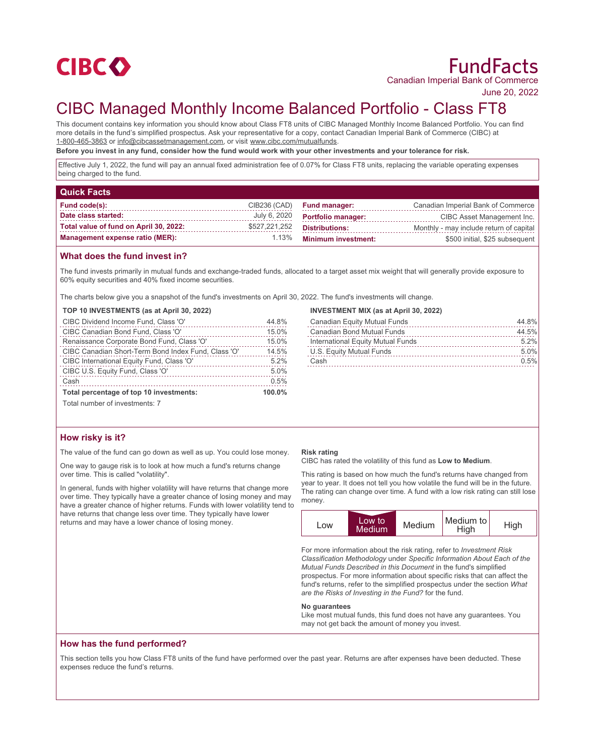

# FundFacts Canadian Imperial Bank of Commerce

June 20, 2022

# CIBC Managed Monthly Income Balanced Portfolio - Class FT8

This document contains key information you should know about Class FT8 units of CIBC Managed Monthly Income Balanced Portfolio. You can find more details in the fund's simplified prospectus. Ask your representative for a copy, contact Canadian Imperial Bank of Commerce (CIBC) at 1-800-465-3863 or info@cibcassetmanagement.com, or visit www.cibc.com/mutualfunds.

**Before you invest in any fund, consider how the fund would work with your other investments and your tolerance for risk.**

Effective July 1, 2022, the fund will pay an annual fixed administration fee of 0.07% for Class FT8 units, replacing the variable operating expenses being charged to the fund.

| <b>Quick Facts</b>                     |               |                            |                                         |
|----------------------------------------|---------------|----------------------------|-----------------------------------------|
| Fund code(s):                          | CIB236 (CAD)  | <b>Fund manager:</b>       | Canadian Imperial Bank of Commerce      |
| Date class started:                    | July 6, 2020  | <b>Portfolio manager:</b>  | CIBC Asset Management Inc.              |
| Total value of fund on April 30, 2022: | \$527,221,252 | <b>Distributions:</b>      | Monthly - may include return of capital |
| <b>Management expense ratio (MER):</b> | 1.13%         | <b>Minimum investment:</b> | \$500 initial, \$25 subsequent          |

## **What does the fund invest in?**

The fund invests primarily in mutual funds and exchange-traded funds, allocated to a target asset mix weight that will generally provide exposure to 60% equity securities and 40% fixed income securities.

The charts below give you a snapshot of the fund's investments on April 30, 2022. The fund's investments will change.

## **TOP 10 INVESTMENTS (as at April 30, 2022)**

| CIBC Dividend Income Fund, Class 'O'                | 44.8%  |
|-----------------------------------------------------|--------|
| CIBC Canadian Bond Fund, Class 'O'                  | 15.0%  |
| Renaissance Corporate Bond Fund, Class 'O'          | 15.0%  |
| CIBC Canadian Short-Term Bond Index Fund, Class 'O' | 14.5%  |
| CIBC International Equity Fund, Class 'O'           | 5.2%   |
| CIBC U.S. Equity Fund, Class 'O'                    | 5.0%   |
| Cash                                                | 0.5%   |
| Total percentage of top 10 investments:             | 100.0% |

### **INVESTMENT MIX (as at April 30, 2022)**

| Canadian Equity Mutual Funds      | 44.8% |
|-----------------------------------|-------|
| <b>Canadian Bond Mutual Funds</b> | 44.5% |
| International Equity Mutual Funds | 5.2%  |
| U.S. Equity Mutual Funds          | 5.0%  |
| Cash                              | 0.5%  |

Total number of investments: 7

# **How risky is it?**

The value of the fund can go down as well as up. You could lose money.

One way to gauge risk is to look at how much a fund's returns change over time. This is called "volatility".

In general, funds with higher volatility will have returns that change more over time. They typically have a greater chance of losing money and may have a greater chance of higher returns. Funds with lower volatility tend to have returns that change less over time. They typically have lower returns and may have a lower chance of losing money.

#### **Risk rating**

CIBC has rated the volatility of this fund as **Low to Medium**.

This rating is based on how much the fund's returns have changed from year to year. It does not tell you how volatile the fund will be in the future. The rating can change over time. A fund with a low risk rating can still lose money.



For more information about the risk rating, refer to *Investment Risk Classification Methodology* under *Specific Information About Each of the Mutual Funds Described in this Document* in the fund's simplified prospectus. For more information about specific risks that can affect the fund's returns, refer to the simplified prospectus under the section *What are the Risks of Investing in the Fund?* for the fund.

#### **No guarantees**

Like most mutual funds, this fund does not have any guarantees. You may not get back the amount of money you invest.

# **How has the fund performed?**

This section tells you how Class FT8 units of the fund have performed over the past year. Returns are after expenses have been deducted. These expenses reduce the fund's returns.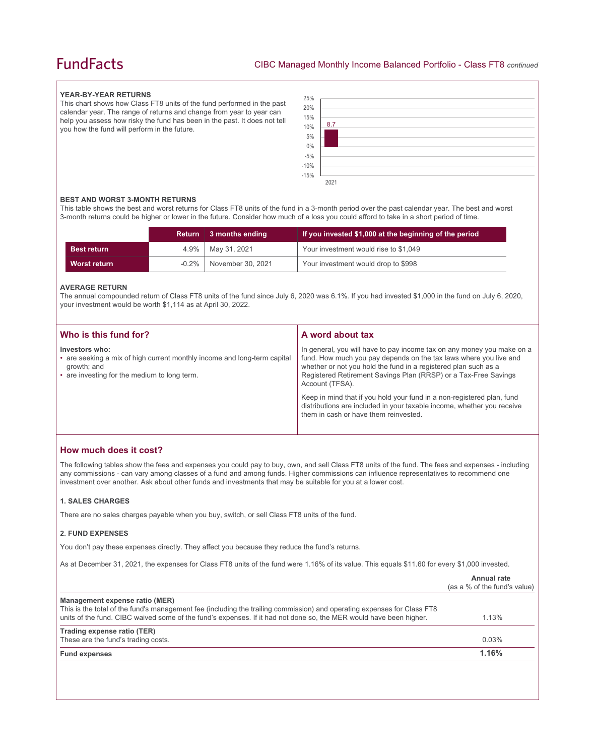# **FundFacts**

### **YEAR-BY-YEAR RETURNS**

This chart shows how Class FT8 units of the fund performed in the past calendar year. The range of returns and change from year to year can help you assess how risky the fund has been in the past. It does not tell you how the fund will perform in the future.



### **BEST AND WORST 3-MONTH RETURNS**

This table shows the best and worst returns for Class FT8 units of the fund in a 3-month period over the past calendar year. The best and worst 3-month returns could be higher or lower in the future. Consider how much of a loss you could afford to take in a short period of time.

|                    |          | Return 3 months ending | If you invested \$1,000 at the beginning of the period |
|--------------------|----------|------------------------|--------------------------------------------------------|
| <b>Best return</b> |          | 4.9%   May 31, 2021    | Your investment would rise to \$1,049                  |
| Worst return       | $-0.2\%$ | November 30, 2021      | Your investment would drop to \$998                    |

### **AVERAGE RETURN**

The annual compounded return of Class FT8 units of the fund since July 6, 2020 was 6.1%. If you had invested \$1,000 in the fund on July 6, 2020, your investment would be worth \$1,114 as at April 30, 2022.

| Who is this fund for?                                                                                                                                     | A word about tax                                                                                                                                                                                                                                                                                     |
|-----------------------------------------------------------------------------------------------------------------------------------------------------------|------------------------------------------------------------------------------------------------------------------------------------------------------------------------------------------------------------------------------------------------------------------------------------------------------|
| Investors who:<br>• are seeking a mix of high current monthly income and long-term capital<br>growth; and<br>• are investing for the medium to long term. | In general, you will have to pay income tax on any money you make on a<br>fund. How much you pay depends on the tax laws where you live and<br>whether or not you hold the fund in a registered plan such as a<br>Registered Retirement Savings Plan (RRSP) or a Tax-Free Savings<br>Account (TFSA). |
|                                                                                                                                                           | Keep in mind that if you hold your fund in a non-registered plan, fund<br>distributions are included in your taxable income, whether you receive<br>them in cash or have them reinvested.                                                                                                            |

# **How much does it cost?**

The following tables show the fees and expenses you could pay to buy, own, and sell Class FT8 units of the fund. The fees and expenses - including any commissions - can vary among classes of a fund and among funds. Higher commissions can influence representatives to recommend one investment over another. Ask about other funds and investments that may be suitable for you at a lower cost.

### **1. SALES CHARGES**

There are no sales charges payable when you buy, switch, or sell Class FT8 units of the fund.

### **2. FUND EXPENSES**

You don't pay these expenses directly. They affect you because they reduce the fund's returns.

As at December 31, 2021, the expenses for Class FT8 units of the fund were 1.16% of its value. This equals \$11.60 for every \$1,000 invested.

|                                                                                                                                                                                                                                                                                 | Annual rate<br>(as a % of the fund's value) |
|---------------------------------------------------------------------------------------------------------------------------------------------------------------------------------------------------------------------------------------------------------------------------------|---------------------------------------------|
| Management expense ratio (MER)<br>This is the total of the fund's management fee (including the trailing commission) and operating expenses for Class FT8<br>units of the fund. CIBC waived some of the fund's expenses. If it had not done so, the MER would have been higher. | 1.13%                                       |
| Trading expense ratio (TER)<br>These are the fund's trading costs.                                                                                                                                                                                                              | 0.03%                                       |
| <b>Fund expenses</b>                                                                                                                                                                                                                                                            | 1.16%                                       |